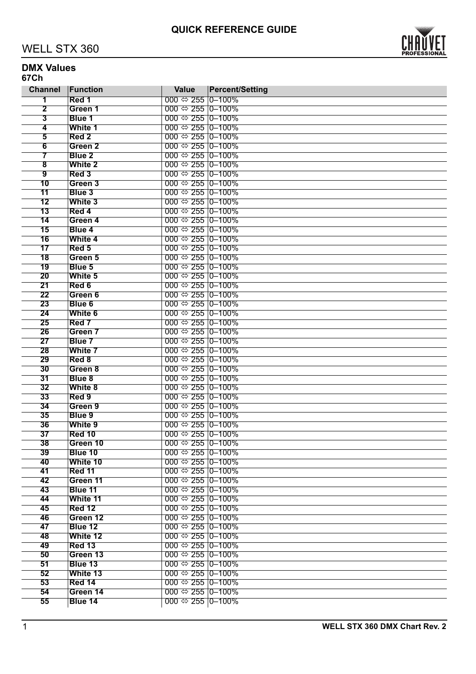

#### **DMX Values 67Ch**

| 000 $\Leftrightarrow$ 255 0-100%<br>1<br>Red 1<br>$\overline{\mathbf{2}}$<br>000 $\Leftrightarrow$ 255 0-100%<br>Green 1<br>$\overline{\mathbf{3}}$<br>000 $\Leftrightarrow$ 255 0-100%<br><b>Blue 1</b><br>000 $\Leftrightarrow$ 255 0-100%<br>$\overline{\mathbf{4}}$<br>White 1<br>000 $\Leftrightarrow$ 255 0-100%<br>$\overline{5}$<br>Red 2<br>000 $\Leftrightarrow$ 255 0–100%<br>6<br>Green <sub>2</sub><br>000 $\Leftrightarrow$ 255 0-100%<br>7<br>Blue <sub>2</sub><br>000 $\Leftrightarrow$ 255 0–100%<br>$\overline{\mathbf{8}}$<br><b>White 2</b><br>9<br>Red 3<br>000 $\Leftrightarrow$ 255 0–100%<br>10<br>Green 3<br>000 $\Leftrightarrow$ 255 0–100%<br><b>Blue 3</b><br>000 $\Leftrightarrow$ 255 0–100%<br>11<br>12<br>White 3<br>000 $\Leftrightarrow$ 255 0–100%<br>000 $\Leftrightarrow$ 255 0–100%<br>13<br>Red 4<br>14<br>Green 4<br>000 $\Leftrightarrow$ 255 0–100%<br>000 $\Leftrightarrow$ 255 0–100%<br>15<br>Blue 4<br>16<br>White 4<br>000 $\Leftrightarrow$ 255 0-100%<br>000 $\Leftrightarrow$ 255 0–100%<br>17<br>Red 5<br>000 $\Leftrightarrow$ 255 0-100%<br>18<br>Green 5<br>000 $\Leftrightarrow$ 255 0-100%<br>19<br>Blue 5<br>000 $\Leftrightarrow$ 255 0-100%<br>20<br>White 5<br>000 $\Leftrightarrow$ 255 0-100%<br>21<br>Red 6<br>000 $\Leftrightarrow$ 255 0-100%<br>22<br>Green 6<br>23<br>000 $\Leftrightarrow$ 255 0-100%<br>Blue 6<br>24<br>White 6<br>000 $\Leftrightarrow$ 255 0-100%<br>25<br>Red 7<br>000 $\Leftrightarrow$ 255 0–100%<br>Green 7<br>000 $\Leftrightarrow$ 255 0–100%<br>26<br>27<br>Blue 7<br>000 $\Leftrightarrow$ 255 0–100%<br>000 $\Leftrightarrow$ 255 0–100%<br>28<br>White 7<br>29<br>Red 8<br>000 $\Leftrightarrow$ 255 0–100%<br>000 $\Leftrightarrow$ 255 0–100%<br>30<br>Green 8<br>000 $\Leftrightarrow$ 255 0–100%<br>31<br>Blue 8<br>000 $\Leftrightarrow$ 255 0–100%<br>32<br>White 8<br>000 $\Leftrightarrow$ 255 0–100%<br>33<br>Red 9<br>000 $\Leftrightarrow$ 255 0–100%<br>34<br>Green 9<br>000 $\Leftrightarrow$ 255 0–100%<br>35<br><b>Blue 9</b><br>000 $\Leftrightarrow$ 255 0-100%<br>36<br>White 9<br>000 $\Leftrightarrow$ 255 0-100%<br>37<br><b>Red 10</b><br>000 $\Leftrightarrow$ 255 0–100%<br>38<br>Green 10<br>39<br>Blue 10<br>000 $\Leftrightarrow$ 255 0–100%<br>40<br>White 10<br>000 $\Leftrightarrow$ 255 0-100%<br>41<br>Red 11<br>000 $\Leftrightarrow$ 255 0–100%<br>42<br>Green 11<br>000 $\Leftrightarrow$ 255 0–100%<br>43<br>Blue 11<br>000 $\Leftrightarrow$ 255 0–100%<br>44<br>White 11<br>000 $\Leftrightarrow$ 255 0–100%<br>45<br><b>Red 12</b><br>000 $\Leftrightarrow$ 255 0–100%<br>46<br>Green 12<br>000 $\Leftrightarrow$ 255 0–100%<br>47<br>Blue 12<br>000 $\Leftrightarrow$ 255 0–100%<br>48<br>White 12<br>000 $\Leftrightarrow$ 255 0–100%<br>000 $\Leftrightarrow$ 255 0–100%<br>49<br><b>Red 13</b><br>50<br>Green 13<br>000 $\Leftrightarrow$ 255 0–100%<br>51<br>000 $\Leftrightarrow$ 255 0–100%<br>Blue 13<br>52<br>000 $\Leftrightarrow$ 255 0–100%<br>White 13<br>53<br>000 $\Leftrightarrow$ 255 0-100%<br>Red 14<br>000 $\Leftrightarrow$ 255 0-100%<br>54<br>Green 14<br>000 $\Leftrightarrow$ 255 0–100%<br>55<br>Blue 14 | <b>Channel</b> | Function | <b>Value</b> | <b>Percent/Setting</b> |
|-----------------------------------------------------------------------------------------------------------------------------------------------------------------------------------------------------------------------------------------------------------------------------------------------------------------------------------------------------------------------------------------------------------------------------------------------------------------------------------------------------------------------------------------------------------------------------------------------------------------------------------------------------------------------------------------------------------------------------------------------------------------------------------------------------------------------------------------------------------------------------------------------------------------------------------------------------------------------------------------------------------------------------------------------------------------------------------------------------------------------------------------------------------------------------------------------------------------------------------------------------------------------------------------------------------------------------------------------------------------------------------------------------------------------------------------------------------------------------------------------------------------------------------------------------------------------------------------------------------------------------------------------------------------------------------------------------------------------------------------------------------------------------------------------------------------------------------------------------------------------------------------------------------------------------------------------------------------------------------------------------------------------------------------------------------------------------------------------------------------------------------------------------------------------------------------------------------------------------------------------------------------------------------------------------------------------------------------------------------------------------------------------------------------------------------------------------------------------------------------------------------------------------------------------------------------------------------------------------------------------------------------------------------------------------------------------------------------------------------------------------------------------------------------------------------------------------------------------------------------------------------------------------------------------------------------------------------------------------------------------------------------------------------------------------------------------------------------------------------------------------------------------------------------------------|----------------|----------|--------------|------------------------|
|                                                                                                                                                                                                                                                                                                                                                                                                                                                                                                                                                                                                                                                                                                                                                                                                                                                                                                                                                                                                                                                                                                                                                                                                                                                                                                                                                                                                                                                                                                                                                                                                                                                                                                                                                                                                                                                                                                                                                                                                                                                                                                                                                                                                                                                                                                                                                                                                                                                                                                                                                                                                                                                                                                                                                                                                                                                                                                                                                                                                                                                                                                                                                                             |                |          |              |                        |
|                                                                                                                                                                                                                                                                                                                                                                                                                                                                                                                                                                                                                                                                                                                                                                                                                                                                                                                                                                                                                                                                                                                                                                                                                                                                                                                                                                                                                                                                                                                                                                                                                                                                                                                                                                                                                                                                                                                                                                                                                                                                                                                                                                                                                                                                                                                                                                                                                                                                                                                                                                                                                                                                                                                                                                                                                                                                                                                                                                                                                                                                                                                                                                             |                |          |              |                        |
|                                                                                                                                                                                                                                                                                                                                                                                                                                                                                                                                                                                                                                                                                                                                                                                                                                                                                                                                                                                                                                                                                                                                                                                                                                                                                                                                                                                                                                                                                                                                                                                                                                                                                                                                                                                                                                                                                                                                                                                                                                                                                                                                                                                                                                                                                                                                                                                                                                                                                                                                                                                                                                                                                                                                                                                                                                                                                                                                                                                                                                                                                                                                                                             |                |          |              |                        |
|                                                                                                                                                                                                                                                                                                                                                                                                                                                                                                                                                                                                                                                                                                                                                                                                                                                                                                                                                                                                                                                                                                                                                                                                                                                                                                                                                                                                                                                                                                                                                                                                                                                                                                                                                                                                                                                                                                                                                                                                                                                                                                                                                                                                                                                                                                                                                                                                                                                                                                                                                                                                                                                                                                                                                                                                                                                                                                                                                                                                                                                                                                                                                                             |                |          |              |                        |
|                                                                                                                                                                                                                                                                                                                                                                                                                                                                                                                                                                                                                                                                                                                                                                                                                                                                                                                                                                                                                                                                                                                                                                                                                                                                                                                                                                                                                                                                                                                                                                                                                                                                                                                                                                                                                                                                                                                                                                                                                                                                                                                                                                                                                                                                                                                                                                                                                                                                                                                                                                                                                                                                                                                                                                                                                                                                                                                                                                                                                                                                                                                                                                             |                |          |              |                        |
|                                                                                                                                                                                                                                                                                                                                                                                                                                                                                                                                                                                                                                                                                                                                                                                                                                                                                                                                                                                                                                                                                                                                                                                                                                                                                                                                                                                                                                                                                                                                                                                                                                                                                                                                                                                                                                                                                                                                                                                                                                                                                                                                                                                                                                                                                                                                                                                                                                                                                                                                                                                                                                                                                                                                                                                                                                                                                                                                                                                                                                                                                                                                                                             |                |          |              |                        |
|                                                                                                                                                                                                                                                                                                                                                                                                                                                                                                                                                                                                                                                                                                                                                                                                                                                                                                                                                                                                                                                                                                                                                                                                                                                                                                                                                                                                                                                                                                                                                                                                                                                                                                                                                                                                                                                                                                                                                                                                                                                                                                                                                                                                                                                                                                                                                                                                                                                                                                                                                                                                                                                                                                                                                                                                                                                                                                                                                                                                                                                                                                                                                                             |                |          |              |                        |
|                                                                                                                                                                                                                                                                                                                                                                                                                                                                                                                                                                                                                                                                                                                                                                                                                                                                                                                                                                                                                                                                                                                                                                                                                                                                                                                                                                                                                                                                                                                                                                                                                                                                                                                                                                                                                                                                                                                                                                                                                                                                                                                                                                                                                                                                                                                                                                                                                                                                                                                                                                                                                                                                                                                                                                                                                                                                                                                                                                                                                                                                                                                                                                             |                |          |              |                        |
|                                                                                                                                                                                                                                                                                                                                                                                                                                                                                                                                                                                                                                                                                                                                                                                                                                                                                                                                                                                                                                                                                                                                                                                                                                                                                                                                                                                                                                                                                                                                                                                                                                                                                                                                                                                                                                                                                                                                                                                                                                                                                                                                                                                                                                                                                                                                                                                                                                                                                                                                                                                                                                                                                                                                                                                                                                                                                                                                                                                                                                                                                                                                                                             |                |          |              |                        |
|                                                                                                                                                                                                                                                                                                                                                                                                                                                                                                                                                                                                                                                                                                                                                                                                                                                                                                                                                                                                                                                                                                                                                                                                                                                                                                                                                                                                                                                                                                                                                                                                                                                                                                                                                                                                                                                                                                                                                                                                                                                                                                                                                                                                                                                                                                                                                                                                                                                                                                                                                                                                                                                                                                                                                                                                                                                                                                                                                                                                                                                                                                                                                                             |                |          |              |                        |
|                                                                                                                                                                                                                                                                                                                                                                                                                                                                                                                                                                                                                                                                                                                                                                                                                                                                                                                                                                                                                                                                                                                                                                                                                                                                                                                                                                                                                                                                                                                                                                                                                                                                                                                                                                                                                                                                                                                                                                                                                                                                                                                                                                                                                                                                                                                                                                                                                                                                                                                                                                                                                                                                                                                                                                                                                                                                                                                                                                                                                                                                                                                                                                             |                |          |              |                        |
|                                                                                                                                                                                                                                                                                                                                                                                                                                                                                                                                                                                                                                                                                                                                                                                                                                                                                                                                                                                                                                                                                                                                                                                                                                                                                                                                                                                                                                                                                                                                                                                                                                                                                                                                                                                                                                                                                                                                                                                                                                                                                                                                                                                                                                                                                                                                                                                                                                                                                                                                                                                                                                                                                                                                                                                                                                                                                                                                                                                                                                                                                                                                                                             |                |          |              |                        |
|                                                                                                                                                                                                                                                                                                                                                                                                                                                                                                                                                                                                                                                                                                                                                                                                                                                                                                                                                                                                                                                                                                                                                                                                                                                                                                                                                                                                                                                                                                                                                                                                                                                                                                                                                                                                                                                                                                                                                                                                                                                                                                                                                                                                                                                                                                                                                                                                                                                                                                                                                                                                                                                                                                                                                                                                                                                                                                                                                                                                                                                                                                                                                                             |                |          |              |                        |
|                                                                                                                                                                                                                                                                                                                                                                                                                                                                                                                                                                                                                                                                                                                                                                                                                                                                                                                                                                                                                                                                                                                                                                                                                                                                                                                                                                                                                                                                                                                                                                                                                                                                                                                                                                                                                                                                                                                                                                                                                                                                                                                                                                                                                                                                                                                                                                                                                                                                                                                                                                                                                                                                                                                                                                                                                                                                                                                                                                                                                                                                                                                                                                             |                |          |              |                        |
|                                                                                                                                                                                                                                                                                                                                                                                                                                                                                                                                                                                                                                                                                                                                                                                                                                                                                                                                                                                                                                                                                                                                                                                                                                                                                                                                                                                                                                                                                                                                                                                                                                                                                                                                                                                                                                                                                                                                                                                                                                                                                                                                                                                                                                                                                                                                                                                                                                                                                                                                                                                                                                                                                                                                                                                                                                                                                                                                                                                                                                                                                                                                                                             |                |          |              |                        |
|                                                                                                                                                                                                                                                                                                                                                                                                                                                                                                                                                                                                                                                                                                                                                                                                                                                                                                                                                                                                                                                                                                                                                                                                                                                                                                                                                                                                                                                                                                                                                                                                                                                                                                                                                                                                                                                                                                                                                                                                                                                                                                                                                                                                                                                                                                                                                                                                                                                                                                                                                                                                                                                                                                                                                                                                                                                                                                                                                                                                                                                                                                                                                                             |                |          |              |                        |
|                                                                                                                                                                                                                                                                                                                                                                                                                                                                                                                                                                                                                                                                                                                                                                                                                                                                                                                                                                                                                                                                                                                                                                                                                                                                                                                                                                                                                                                                                                                                                                                                                                                                                                                                                                                                                                                                                                                                                                                                                                                                                                                                                                                                                                                                                                                                                                                                                                                                                                                                                                                                                                                                                                                                                                                                                                                                                                                                                                                                                                                                                                                                                                             |                |          |              |                        |
|                                                                                                                                                                                                                                                                                                                                                                                                                                                                                                                                                                                                                                                                                                                                                                                                                                                                                                                                                                                                                                                                                                                                                                                                                                                                                                                                                                                                                                                                                                                                                                                                                                                                                                                                                                                                                                                                                                                                                                                                                                                                                                                                                                                                                                                                                                                                                                                                                                                                                                                                                                                                                                                                                                                                                                                                                                                                                                                                                                                                                                                                                                                                                                             |                |          |              |                        |
|                                                                                                                                                                                                                                                                                                                                                                                                                                                                                                                                                                                                                                                                                                                                                                                                                                                                                                                                                                                                                                                                                                                                                                                                                                                                                                                                                                                                                                                                                                                                                                                                                                                                                                                                                                                                                                                                                                                                                                                                                                                                                                                                                                                                                                                                                                                                                                                                                                                                                                                                                                                                                                                                                                                                                                                                                                                                                                                                                                                                                                                                                                                                                                             |                |          |              |                        |
|                                                                                                                                                                                                                                                                                                                                                                                                                                                                                                                                                                                                                                                                                                                                                                                                                                                                                                                                                                                                                                                                                                                                                                                                                                                                                                                                                                                                                                                                                                                                                                                                                                                                                                                                                                                                                                                                                                                                                                                                                                                                                                                                                                                                                                                                                                                                                                                                                                                                                                                                                                                                                                                                                                                                                                                                                                                                                                                                                                                                                                                                                                                                                                             |                |          |              |                        |
|                                                                                                                                                                                                                                                                                                                                                                                                                                                                                                                                                                                                                                                                                                                                                                                                                                                                                                                                                                                                                                                                                                                                                                                                                                                                                                                                                                                                                                                                                                                                                                                                                                                                                                                                                                                                                                                                                                                                                                                                                                                                                                                                                                                                                                                                                                                                                                                                                                                                                                                                                                                                                                                                                                                                                                                                                                                                                                                                                                                                                                                                                                                                                                             |                |          |              |                        |
|                                                                                                                                                                                                                                                                                                                                                                                                                                                                                                                                                                                                                                                                                                                                                                                                                                                                                                                                                                                                                                                                                                                                                                                                                                                                                                                                                                                                                                                                                                                                                                                                                                                                                                                                                                                                                                                                                                                                                                                                                                                                                                                                                                                                                                                                                                                                                                                                                                                                                                                                                                                                                                                                                                                                                                                                                                                                                                                                                                                                                                                                                                                                                                             |                |          |              |                        |
|                                                                                                                                                                                                                                                                                                                                                                                                                                                                                                                                                                                                                                                                                                                                                                                                                                                                                                                                                                                                                                                                                                                                                                                                                                                                                                                                                                                                                                                                                                                                                                                                                                                                                                                                                                                                                                                                                                                                                                                                                                                                                                                                                                                                                                                                                                                                                                                                                                                                                                                                                                                                                                                                                                                                                                                                                                                                                                                                                                                                                                                                                                                                                                             |                |          |              |                        |
|                                                                                                                                                                                                                                                                                                                                                                                                                                                                                                                                                                                                                                                                                                                                                                                                                                                                                                                                                                                                                                                                                                                                                                                                                                                                                                                                                                                                                                                                                                                                                                                                                                                                                                                                                                                                                                                                                                                                                                                                                                                                                                                                                                                                                                                                                                                                                                                                                                                                                                                                                                                                                                                                                                                                                                                                                                                                                                                                                                                                                                                                                                                                                                             |                |          |              |                        |
|                                                                                                                                                                                                                                                                                                                                                                                                                                                                                                                                                                                                                                                                                                                                                                                                                                                                                                                                                                                                                                                                                                                                                                                                                                                                                                                                                                                                                                                                                                                                                                                                                                                                                                                                                                                                                                                                                                                                                                                                                                                                                                                                                                                                                                                                                                                                                                                                                                                                                                                                                                                                                                                                                                                                                                                                                                                                                                                                                                                                                                                                                                                                                                             |                |          |              |                        |
|                                                                                                                                                                                                                                                                                                                                                                                                                                                                                                                                                                                                                                                                                                                                                                                                                                                                                                                                                                                                                                                                                                                                                                                                                                                                                                                                                                                                                                                                                                                                                                                                                                                                                                                                                                                                                                                                                                                                                                                                                                                                                                                                                                                                                                                                                                                                                                                                                                                                                                                                                                                                                                                                                                                                                                                                                                                                                                                                                                                                                                                                                                                                                                             |                |          |              |                        |
|                                                                                                                                                                                                                                                                                                                                                                                                                                                                                                                                                                                                                                                                                                                                                                                                                                                                                                                                                                                                                                                                                                                                                                                                                                                                                                                                                                                                                                                                                                                                                                                                                                                                                                                                                                                                                                                                                                                                                                                                                                                                                                                                                                                                                                                                                                                                                                                                                                                                                                                                                                                                                                                                                                                                                                                                                                                                                                                                                                                                                                                                                                                                                                             |                |          |              |                        |
|                                                                                                                                                                                                                                                                                                                                                                                                                                                                                                                                                                                                                                                                                                                                                                                                                                                                                                                                                                                                                                                                                                                                                                                                                                                                                                                                                                                                                                                                                                                                                                                                                                                                                                                                                                                                                                                                                                                                                                                                                                                                                                                                                                                                                                                                                                                                                                                                                                                                                                                                                                                                                                                                                                                                                                                                                                                                                                                                                                                                                                                                                                                                                                             |                |          |              |                        |
|                                                                                                                                                                                                                                                                                                                                                                                                                                                                                                                                                                                                                                                                                                                                                                                                                                                                                                                                                                                                                                                                                                                                                                                                                                                                                                                                                                                                                                                                                                                                                                                                                                                                                                                                                                                                                                                                                                                                                                                                                                                                                                                                                                                                                                                                                                                                                                                                                                                                                                                                                                                                                                                                                                                                                                                                                                                                                                                                                                                                                                                                                                                                                                             |                |          |              |                        |
|                                                                                                                                                                                                                                                                                                                                                                                                                                                                                                                                                                                                                                                                                                                                                                                                                                                                                                                                                                                                                                                                                                                                                                                                                                                                                                                                                                                                                                                                                                                                                                                                                                                                                                                                                                                                                                                                                                                                                                                                                                                                                                                                                                                                                                                                                                                                                                                                                                                                                                                                                                                                                                                                                                                                                                                                                                                                                                                                                                                                                                                                                                                                                                             |                |          |              |                        |
|                                                                                                                                                                                                                                                                                                                                                                                                                                                                                                                                                                                                                                                                                                                                                                                                                                                                                                                                                                                                                                                                                                                                                                                                                                                                                                                                                                                                                                                                                                                                                                                                                                                                                                                                                                                                                                                                                                                                                                                                                                                                                                                                                                                                                                                                                                                                                                                                                                                                                                                                                                                                                                                                                                                                                                                                                                                                                                                                                                                                                                                                                                                                                                             |                |          |              |                        |
|                                                                                                                                                                                                                                                                                                                                                                                                                                                                                                                                                                                                                                                                                                                                                                                                                                                                                                                                                                                                                                                                                                                                                                                                                                                                                                                                                                                                                                                                                                                                                                                                                                                                                                                                                                                                                                                                                                                                                                                                                                                                                                                                                                                                                                                                                                                                                                                                                                                                                                                                                                                                                                                                                                                                                                                                                                                                                                                                                                                                                                                                                                                                                                             |                |          |              |                        |
|                                                                                                                                                                                                                                                                                                                                                                                                                                                                                                                                                                                                                                                                                                                                                                                                                                                                                                                                                                                                                                                                                                                                                                                                                                                                                                                                                                                                                                                                                                                                                                                                                                                                                                                                                                                                                                                                                                                                                                                                                                                                                                                                                                                                                                                                                                                                                                                                                                                                                                                                                                                                                                                                                                                                                                                                                                                                                                                                                                                                                                                                                                                                                                             |                |          |              |                        |
|                                                                                                                                                                                                                                                                                                                                                                                                                                                                                                                                                                                                                                                                                                                                                                                                                                                                                                                                                                                                                                                                                                                                                                                                                                                                                                                                                                                                                                                                                                                                                                                                                                                                                                                                                                                                                                                                                                                                                                                                                                                                                                                                                                                                                                                                                                                                                                                                                                                                                                                                                                                                                                                                                                                                                                                                                                                                                                                                                                                                                                                                                                                                                                             |                |          |              |                        |
|                                                                                                                                                                                                                                                                                                                                                                                                                                                                                                                                                                                                                                                                                                                                                                                                                                                                                                                                                                                                                                                                                                                                                                                                                                                                                                                                                                                                                                                                                                                                                                                                                                                                                                                                                                                                                                                                                                                                                                                                                                                                                                                                                                                                                                                                                                                                                                                                                                                                                                                                                                                                                                                                                                                                                                                                                                                                                                                                                                                                                                                                                                                                                                             |                |          |              |                        |
|                                                                                                                                                                                                                                                                                                                                                                                                                                                                                                                                                                                                                                                                                                                                                                                                                                                                                                                                                                                                                                                                                                                                                                                                                                                                                                                                                                                                                                                                                                                                                                                                                                                                                                                                                                                                                                                                                                                                                                                                                                                                                                                                                                                                                                                                                                                                                                                                                                                                                                                                                                                                                                                                                                                                                                                                                                                                                                                                                                                                                                                                                                                                                                             |                |          |              |                        |
|                                                                                                                                                                                                                                                                                                                                                                                                                                                                                                                                                                                                                                                                                                                                                                                                                                                                                                                                                                                                                                                                                                                                                                                                                                                                                                                                                                                                                                                                                                                                                                                                                                                                                                                                                                                                                                                                                                                                                                                                                                                                                                                                                                                                                                                                                                                                                                                                                                                                                                                                                                                                                                                                                                                                                                                                                                                                                                                                                                                                                                                                                                                                                                             |                |          |              |                        |
|                                                                                                                                                                                                                                                                                                                                                                                                                                                                                                                                                                                                                                                                                                                                                                                                                                                                                                                                                                                                                                                                                                                                                                                                                                                                                                                                                                                                                                                                                                                                                                                                                                                                                                                                                                                                                                                                                                                                                                                                                                                                                                                                                                                                                                                                                                                                                                                                                                                                                                                                                                                                                                                                                                                                                                                                                                                                                                                                                                                                                                                                                                                                                                             |                |          |              |                        |
|                                                                                                                                                                                                                                                                                                                                                                                                                                                                                                                                                                                                                                                                                                                                                                                                                                                                                                                                                                                                                                                                                                                                                                                                                                                                                                                                                                                                                                                                                                                                                                                                                                                                                                                                                                                                                                                                                                                                                                                                                                                                                                                                                                                                                                                                                                                                                                                                                                                                                                                                                                                                                                                                                                                                                                                                                                                                                                                                                                                                                                                                                                                                                                             |                |          |              |                        |
|                                                                                                                                                                                                                                                                                                                                                                                                                                                                                                                                                                                                                                                                                                                                                                                                                                                                                                                                                                                                                                                                                                                                                                                                                                                                                                                                                                                                                                                                                                                                                                                                                                                                                                                                                                                                                                                                                                                                                                                                                                                                                                                                                                                                                                                                                                                                                                                                                                                                                                                                                                                                                                                                                                                                                                                                                                                                                                                                                                                                                                                                                                                                                                             |                |          |              |                        |
|                                                                                                                                                                                                                                                                                                                                                                                                                                                                                                                                                                                                                                                                                                                                                                                                                                                                                                                                                                                                                                                                                                                                                                                                                                                                                                                                                                                                                                                                                                                                                                                                                                                                                                                                                                                                                                                                                                                                                                                                                                                                                                                                                                                                                                                                                                                                                                                                                                                                                                                                                                                                                                                                                                                                                                                                                                                                                                                                                                                                                                                                                                                                                                             |                |          |              |                        |
|                                                                                                                                                                                                                                                                                                                                                                                                                                                                                                                                                                                                                                                                                                                                                                                                                                                                                                                                                                                                                                                                                                                                                                                                                                                                                                                                                                                                                                                                                                                                                                                                                                                                                                                                                                                                                                                                                                                                                                                                                                                                                                                                                                                                                                                                                                                                                                                                                                                                                                                                                                                                                                                                                                                                                                                                                                                                                                                                                                                                                                                                                                                                                                             |                |          |              |                        |
|                                                                                                                                                                                                                                                                                                                                                                                                                                                                                                                                                                                                                                                                                                                                                                                                                                                                                                                                                                                                                                                                                                                                                                                                                                                                                                                                                                                                                                                                                                                                                                                                                                                                                                                                                                                                                                                                                                                                                                                                                                                                                                                                                                                                                                                                                                                                                                                                                                                                                                                                                                                                                                                                                                                                                                                                                                                                                                                                                                                                                                                                                                                                                                             |                |          |              |                        |
|                                                                                                                                                                                                                                                                                                                                                                                                                                                                                                                                                                                                                                                                                                                                                                                                                                                                                                                                                                                                                                                                                                                                                                                                                                                                                                                                                                                                                                                                                                                                                                                                                                                                                                                                                                                                                                                                                                                                                                                                                                                                                                                                                                                                                                                                                                                                                                                                                                                                                                                                                                                                                                                                                                                                                                                                                                                                                                                                                                                                                                                                                                                                                                             |                |          |              |                        |
|                                                                                                                                                                                                                                                                                                                                                                                                                                                                                                                                                                                                                                                                                                                                                                                                                                                                                                                                                                                                                                                                                                                                                                                                                                                                                                                                                                                                                                                                                                                                                                                                                                                                                                                                                                                                                                                                                                                                                                                                                                                                                                                                                                                                                                                                                                                                                                                                                                                                                                                                                                                                                                                                                                                                                                                                                                                                                                                                                                                                                                                                                                                                                                             |                |          |              |                        |
|                                                                                                                                                                                                                                                                                                                                                                                                                                                                                                                                                                                                                                                                                                                                                                                                                                                                                                                                                                                                                                                                                                                                                                                                                                                                                                                                                                                                                                                                                                                                                                                                                                                                                                                                                                                                                                                                                                                                                                                                                                                                                                                                                                                                                                                                                                                                                                                                                                                                                                                                                                                                                                                                                                                                                                                                                                                                                                                                                                                                                                                                                                                                                                             |                |          |              |                        |
|                                                                                                                                                                                                                                                                                                                                                                                                                                                                                                                                                                                                                                                                                                                                                                                                                                                                                                                                                                                                                                                                                                                                                                                                                                                                                                                                                                                                                                                                                                                                                                                                                                                                                                                                                                                                                                                                                                                                                                                                                                                                                                                                                                                                                                                                                                                                                                                                                                                                                                                                                                                                                                                                                                                                                                                                                                                                                                                                                                                                                                                                                                                                                                             |                |          |              |                        |
|                                                                                                                                                                                                                                                                                                                                                                                                                                                                                                                                                                                                                                                                                                                                                                                                                                                                                                                                                                                                                                                                                                                                                                                                                                                                                                                                                                                                                                                                                                                                                                                                                                                                                                                                                                                                                                                                                                                                                                                                                                                                                                                                                                                                                                                                                                                                                                                                                                                                                                                                                                                                                                                                                                                                                                                                                                                                                                                                                                                                                                                                                                                                                                             |                |          |              |                        |
|                                                                                                                                                                                                                                                                                                                                                                                                                                                                                                                                                                                                                                                                                                                                                                                                                                                                                                                                                                                                                                                                                                                                                                                                                                                                                                                                                                                                                                                                                                                                                                                                                                                                                                                                                                                                                                                                                                                                                                                                                                                                                                                                                                                                                                                                                                                                                                                                                                                                                                                                                                                                                                                                                                                                                                                                                                                                                                                                                                                                                                                                                                                                                                             |                |          |              |                        |
|                                                                                                                                                                                                                                                                                                                                                                                                                                                                                                                                                                                                                                                                                                                                                                                                                                                                                                                                                                                                                                                                                                                                                                                                                                                                                                                                                                                                                                                                                                                                                                                                                                                                                                                                                                                                                                                                                                                                                                                                                                                                                                                                                                                                                                                                                                                                                                                                                                                                                                                                                                                                                                                                                                                                                                                                                                                                                                                                                                                                                                                                                                                                                                             |                |          |              |                        |
|                                                                                                                                                                                                                                                                                                                                                                                                                                                                                                                                                                                                                                                                                                                                                                                                                                                                                                                                                                                                                                                                                                                                                                                                                                                                                                                                                                                                                                                                                                                                                                                                                                                                                                                                                                                                                                                                                                                                                                                                                                                                                                                                                                                                                                                                                                                                                                                                                                                                                                                                                                                                                                                                                                                                                                                                                                                                                                                                                                                                                                                                                                                                                                             |                |          |              |                        |
|                                                                                                                                                                                                                                                                                                                                                                                                                                                                                                                                                                                                                                                                                                                                                                                                                                                                                                                                                                                                                                                                                                                                                                                                                                                                                                                                                                                                                                                                                                                                                                                                                                                                                                                                                                                                                                                                                                                                                                                                                                                                                                                                                                                                                                                                                                                                                                                                                                                                                                                                                                                                                                                                                                                                                                                                                                                                                                                                                                                                                                                                                                                                                                             |                |          |              |                        |
|                                                                                                                                                                                                                                                                                                                                                                                                                                                                                                                                                                                                                                                                                                                                                                                                                                                                                                                                                                                                                                                                                                                                                                                                                                                                                                                                                                                                                                                                                                                                                                                                                                                                                                                                                                                                                                                                                                                                                                                                                                                                                                                                                                                                                                                                                                                                                                                                                                                                                                                                                                                                                                                                                                                                                                                                                                                                                                                                                                                                                                                                                                                                                                             |                |          |              |                        |
|                                                                                                                                                                                                                                                                                                                                                                                                                                                                                                                                                                                                                                                                                                                                                                                                                                                                                                                                                                                                                                                                                                                                                                                                                                                                                                                                                                                                                                                                                                                                                                                                                                                                                                                                                                                                                                                                                                                                                                                                                                                                                                                                                                                                                                                                                                                                                                                                                                                                                                                                                                                                                                                                                                                                                                                                                                                                                                                                                                                                                                                                                                                                                                             |                |          |              |                        |
|                                                                                                                                                                                                                                                                                                                                                                                                                                                                                                                                                                                                                                                                                                                                                                                                                                                                                                                                                                                                                                                                                                                                                                                                                                                                                                                                                                                                                                                                                                                                                                                                                                                                                                                                                                                                                                                                                                                                                                                                                                                                                                                                                                                                                                                                                                                                                                                                                                                                                                                                                                                                                                                                                                                                                                                                                                                                                                                                                                                                                                                                                                                                                                             |                |          |              |                        |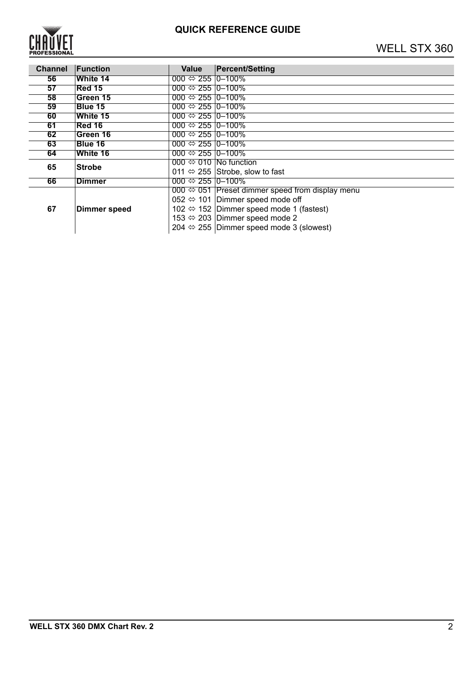

| <b>Channel</b> | Function            | Value                            | <b>Percent/Setting</b>                                          |
|----------------|---------------------|----------------------------------|-----------------------------------------------------------------|
| 56             | <b>White 14</b>     | 000 $\Leftrightarrow$ 255 0–100% |                                                                 |
| 57             | <b>Red 15</b>       | 000 $\Leftrightarrow$ 255 0-100% |                                                                 |
| 58             | Green 15            | 000 $\Leftrightarrow$ 255 0-100% |                                                                 |
| 59             | <b>Blue 15</b>      | 000 $\Leftrightarrow$ 255 0-100% |                                                                 |
| 60             | White 15            | $000 \Leftrightarrow 255$ 0-100% |                                                                 |
| 61             | <b>Red 16</b>       | 000 $\Leftrightarrow$ 255 0–100% |                                                                 |
| 62             | Green 16            | 000 $\Leftrightarrow$ 255 0-100% |                                                                 |
| 63             | Blue 16             | 000 $\Leftrightarrow$ 255 0-100% |                                                                 |
| 64             | White 16            | 000 $\Leftrightarrow$ 255 0-100% |                                                                 |
| 65             | <b>Strobe</b>       |                                  | 000 $\Leftrightarrow$ 010 No function                           |
|                |                     |                                  | 011 $\Leftrightarrow$ 255 Strobe, slow to fast                  |
| 66             | <b>Dimmer</b>       | 000 $\Leftrightarrow$ 255 0-100% |                                                                 |
|                | <b>Dimmer speed</b> |                                  | 000 $\Leftrightarrow$ 051 Preset dimmer speed from display menu |
|                |                     |                                  | 052 $\Leftrightarrow$ 101 Dimmer speed mode off                 |
| 67             |                     |                                  | 102 $\Leftrightarrow$ 152 Dimmer speed mode 1 (fastest)         |
|                |                     |                                  | 153 $\Leftrightarrow$ 203 Dimmer speed mode 2                   |
|                |                     |                                  | 204 $\Leftrightarrow$ 255 Dimmer speed mode 3 (slowest)         |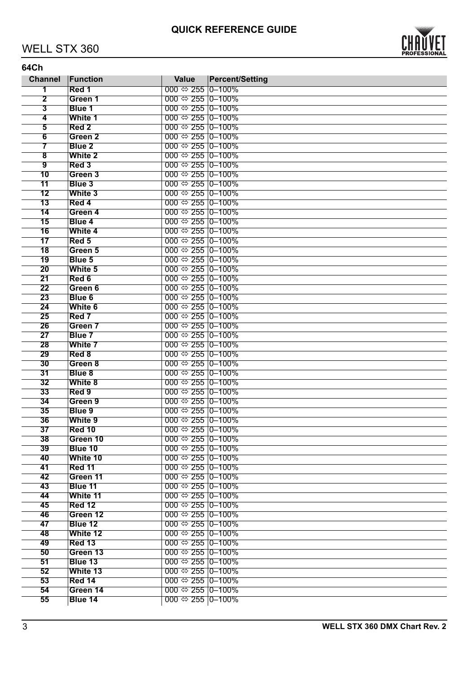## WELL STX 360



| <b>Channel</b>           | Function           | <b>Value</b>                     | <b>Percent/Setting</b> |
|--------------------------|--------------------|----------------------------------|------------------------|
| 1                        | Red 1              | 000 $\Leftrightarrow$ 255 0-100% |                        |
| $\overline{\mathbf{2}}$  | Green 1            | 000 $\Leftrightarrow$ 255 0–100% |                        |
| 3                        | Blue 1             | 000 $\Leftrightarrow$ 255 0-100% |                        |
| 4                        | White 1            | 000 $\Leftrightarrow$ 255 0–100% |                        |
| $\overline{\mathbf{5}}$  | Red <sub>2</sub>   | 000 $\Leftrightarrow$ 255 0-100% |                        |
| $6\overline{6}$          | Green <sub>2</sub> | 000 $\Leftrightarrow$ 255 0–100% |                        |
| 7                        | Blue <sub>2</sub>  | 000 $\Leftrightarrow$ 255 0-100% |                        |
| $\overline{\mathbf{8}}$  | <b>White 2</b>     | 000 $\Leftrightarrow$ 255 0–100% |                        |
| $\overline{9}$           | Red <sub>3</sub>   | 000 $\Leftrightarrow$ 255 0-100% |                        |
| 10                       | Green 3            | 000 $\Leftrightarrow$ 255 0–100% |                        |
| 11                       | Blue 3             | 000 $\Leftrightarrow$ 255 0-100% |                        |
| 12                       | White 3            | 000 $\Leftrightarrow$ 255 0-100% |                        |
| $\overline{13}$          | Red 4              | 000 $\Leftrightarrow$ 255 0-100% |                        |
| 14                       | Green 4            | 000 $\Leftrightarrow$ 255 0–100% |                        |
| 15                       | <b>Blue 4</b>      | 000 $\Leftrightarrow$ 255 0-100% |                        |
| 16                       | White 4            | 000 $\Leftrightarrow$ 255 0-100% |                        |
| $\overline{\mathbf{17}}$ | Red 5              | 000 $\Leftrightarrow$ 255 0-100% |                        |
| $\overline{18}$          | Green 5            | 000 $\Leftrightarrow$ 255 0-100% |                        |
| 19                       | Blue 5             | 000 $\Leftrightarrow$ 255 0–100% |                        |
| 20                       | White 5            | 000 $\Leftrightarrow$ 255 0-100% |                        |
| $\overline{21}$          | Red 6              | 000 $\Leftrightarrow$ 255 0-100% |                        |
| 22                       | Green 6            | 000 $\Leftrightarrow$ 255 0-100% |                        |
| 23                       | <b>Blue 6</b>      | 000 $\Leftrightarrow$ 255 0–100% |                        |
| 24                       | White 6            | 000 $\Leftrightarrow$ 255 0-100% |                        |
| 25                       | Red 7              | 000 $\Leftrightarrow$ 255 0–100% |                        |
| 26                       | Green 7            | 000 $\Leftrightarrow$ 255 0-100% |                        |
| 27                       | Blue 7             | 000 $\Leftrightarrow$ 255 0–100% |                        |
|                          |                    |                                  |                        |
| 28                       | White 7            | 000 $\Leftrightarrow$ 255 0-100% |                        |
| 29                       | Red 8              | 000 $\Leftrightarrow$ 255 0–100% |                        |
| 30                       | Green 8            | 000 $\Leftrightarrow$ 255 0-100% |                        |
| 31                       | Blue 8             | 000 $\Leftrightarrow$ 255 0–100% |                        |
| 32                       | White 8            | 000 $\Leftrightarrow$ 255 0-100% |                        |
| 33                       | Red 9              | 000 $\Leftrightarrow$ 255 0–100% |                        |
| 34                       | Green 9            | 000 $\Leftrightarrow$ 255 0-100% |                        |
| 35                       | Blue 9             | 000 $\Leftrightarrow$ 255 0–100% |                        |
| 36                       | White 9            | 000 $\Leftrightarrow$ 255 0-100% |                        |
| 37                       | <b>Red 10</b>      | 000 $\Leftrightarrow$ 255 0-100% |                        |
| 38                       | Green 10           | 000 $\Leftrightarrow$ 255 0–100% |                        |
| 39                       | Blue 10            | 000 $\Leftrightarrow$ 255 0–100% |                        |
| 40                       | White 10           | 000 $\Leftrightarrow$ 255 0-100% |                        |
| 41                       | Red 11             | 000 $\Leftrightarrow$ 255 0-100% |                        |
| 42                       | Green 11           | 000 $\Leftrightarrow$ 255 0-100% |                        |
| 43                       | Blue 11            | 000 $\Leftrightarrow$ 255 0-100% |                        |
| 44                       | White 11           | 000 $\Leftrightarrow$ 255 0–100% |                        |
| 45                       | <b>Red 12</b>      | 000 $\Leftrightarrow$ 255 0-100% |                        |
| 46                       | Green 12           | 000 $\Leftrightarrow$ 255 0–100% |                        |
| 47                       | Blue 12            | 000 $\Leftrightarrow$ 255 0-100% |                        |
| 48                       | White 12           | 000 $\Leftrightarrow$ 255 0-100% |                        |
| 49                       | <b>Red 13</b>      | 000 $\Leftrightarrow$ 255 0-100% |                        |
| 50                       | Green 13           | 000 $\Leftrightarrow$ 255 0–100% |                        |
| 51                       | Blue 13            | 000 $\Leftrightarrow$ 255 0-100% |                        |
| 52                       | White 13           | 000 $\Leftrightarrow$ 255 0–100% |                        |
| 53                       | <b>Red 14</b>      | 000 $\Leftrightarrow$ 255 0-100% |                        |
| 54                       | Green 14           | 000 $\Leftrightarrow$ 255 0–100% |                        |
| 55                       | Blue 14            | 000 $\Leftrightarrow$ 255 0-100% |                        |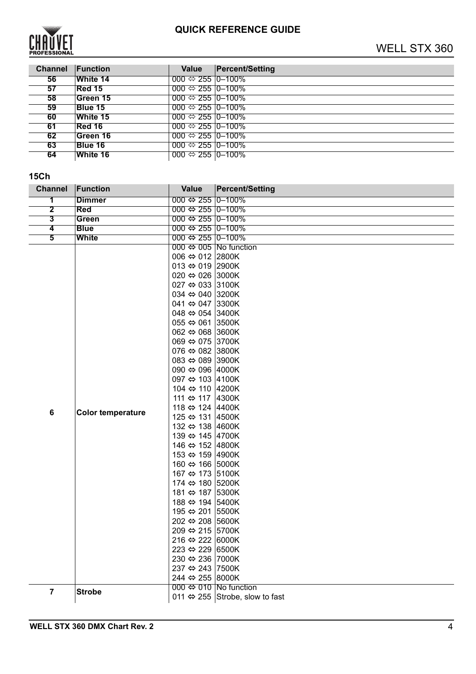

| <b>Channel</b> | <b>Function</b> | Value                            | <b>Percent/Setting</b> |
|----------------|-----------------|----------------------------------|------------------------|
| 56             | <b>White 14</b> | 000 $\Leftrightarrow$ 255 0–100% |                        |
| 57             | Red 15          | 000 $\Leftrightarrow$ 255 0–100% |                        |
| 58             | Green 15        | $000 \Leftrightarrow 255$ 0-100% |                        |
| 59             | Blue 15         | 000 $\Leftrightarrow$ 255 0–100% |                        |
| 60             | White 15        | 000 $\Leftrightarrow$ 255 0-100% |                        |
| 61             | <b>Red 16</b>   | 000 $\Leftrightarrow$ 255 0–100% |                        |
| 62             | Green 16        | 000 $\Leftrightarrow$ 255 0-100% |                        |
| 63             | Blue 16         | 000 $\Leftrightarrow$ 255 0–100% |                        |
| 64             | <b>White 16</b> | 000 $\Leftrightarrow$ 255 0–100% |                        |

#### **15Ch**

| <b>Channel</b>          | Function                 | <b>Value</b>                       | <b>Percent/Setting</b>                         |
|-------------------------|--------------------------|------------------------------------|------------------------------------------------|
| 1                       | <b>Dimmer</b>            | 000 $\Leftrightarrow$ 255 0-100%   |                                                |
| $\overline{\mathbf{2}}$ | Red                      | 000 ⇔ 255 0–100%                   |                                                |
| 3                       | Green                    | 000 $\Leftrightarrow$ 255 0-100%   |                                                |
| $\overline{\mathbf{4}}$ | <b>Blue</b>              | 000 $\Leftrightarrow$ 255 0-100%   |                                                |
| $\overline{\mathbf{5}}$ | White                    | 000 ⇔ 255 0-100%                   |                                                |
|                         |                          |                                    | 000 $\Leftrightarrow$ 005 No function          |
|                         |                          | 006 $\Leftrightarrow$ 012 2800K    |                                                |
|                         |                          | 013 $\Leftrightarrow$ 019 2900K    |                                                |
|                         |                          | 020 ↔ 026 3000K                    |                                                |
|                         |                          | 027 ⇔ 033 3100K                    |                                                |
|                         |                          | 034 ⇔ 040 3200K                    |                                                |
|                         |                          | 041 $\Leftrightarrow$ 047 3300K    |                                                |
|                         |                          | 048 ⇔ 054 3400K                    |                                                |
|                         |                          | 055 $\Leftrightarrow$ 061 3500K    |                                                |
|                         |                          | 062 $\Leftrightarrow$ 068 3600K    |                                                |
|                         |                          | 069 ⇔ 075 3700K                    |                                                |
|                         |                          | 076 $\Leftrightarrow$ 082 3800K    |                                                |
|                         |                          | 083 ⇔ 089 3900K                    |                                                |
|                         |                          | 090 ⇔ 096 4000K                    |                                                |
|                         |                          | 097 ⇔ 103 4100K<br>104 ⇔ 110 4200K |                                                |
|                         |                          | 111 ⇔ 117 4300K                    |                                                |
|                         |                          | 118 ⇔ 124 4400K                    |                                                |
| $\bf 6$                 | <b>Color temperature</b> | 125 ⇔ 131 4500K                    |                                                |
|                         |                          | 132 ⇔ 138 4600K                    |                                                |
|                         |                          | 139 ⇔ 145 4700K                    |                                                |
|                         |                          | 146 ⇔ 152 4800K                    |                                                |
|                         |                          | 153 ⇔ 159 4900K                    |                                                |
|                         |                          | 160 ⇔ 166 5000K                    |                                                |
|                         |                          | 167 ⇔ 173 5100K                    |                                                |
|                         |                          | 174 ⇔ 180 5200K                    |                                                |
|                         |                          | 181 ⇔ 187 5300K                    |                                                |
|                         |                          | 188 ⇔ 194 5400K                    |                                                |
|                         |                          | 195 ⇔ 201 5500K                    |                                                |
|                         |                          | 202 ⇔ 208 5600K                    |                                                |
|                         |                          | 209 ⇔ 215 5700K                    |                                                |
|                         |                          | 216 $\Leftrightarrow$ 222 6000K    |                                                |
|                         |                          | 223 ⇔ 229 6500K                    |                                                |
|                         |                          | 230 ↔ 236 7000K                    |                                                |
|                         |                          | 237 ⇔ 243 7500K                    |                                                |
|                         |                          | 244 ⇔ 255 8000K                    |                                                |
| $\overline{\mathbf{7}}$ | <b>Strobe</b>            |                                    | 000 ⇔ 010 No function                          |
|                         |                          |                                    | 011 $\Leftrightarrow$ 255 Strobe, slow to fast |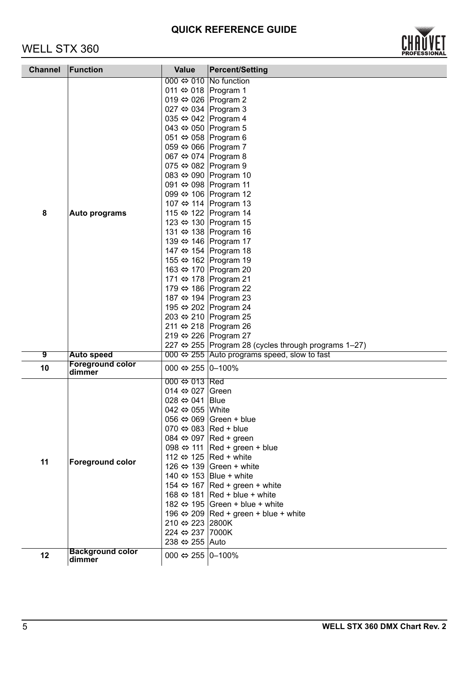# WELL STX 360



| <b>Channel</b> | Function                          | <b>Value</b>                           | <b>Percent/Setting</b>                                      |
|----------------|-----------------------------------|----------------------------------------|-------------------------------------------------------------|
|                |                                   |                                        | 000 $\Leftrightarrow$ 010 No function                       |
|                |                                   | 011 ⇔ 018 Program 1                    |                                                             |
|                |                                   | 019 ⇔ 026 Program 2                    |                                                             |
|                |                                   | 027 ⇔ 034 Program 3                    |                                                             |
|                |                                   | 035 ⇔ 042 Program 4                    |                                                             |
|                |                                   | 043 ⇔ 050 Program 5                    |                                                             |
|                |                                   | 051 ⇔ 058 Program 6                    |                                                             |
|                |                                   | 059 ⇔ 066 Program 7                    |                                                             |
|                |                                   | 067 ⇔ 074 Program 8                    |                                                             |
|                |                                   | 075 $\Leftrightarrow$ 082 Program 9    |                                                             |
|                |                                   |                                        | 083 ⇔ 090 Program 10                                        |
|                |                                   |                                        | 091 ⇔ 098 Program 11                                        |
|                |                                   |                                        | 099 ⇔ 106 Program 12                                        |
|                |                                   |                                        | 107 ⇔ 114 Program 13                                        |
| 8              | Auto programs                     |                                        | 115 ⇔ 122 Program 14                                        |
|                |                                   |                                        | 123 ⇔ 130 Program 15                                        |
|                |                                   |                                        | 131 ⇔ 138 Program 16                                        |
|                |                                   |                                        | 139 ⇔ 146 Program 17                                        |
|                |                                   |                                        | 147 ⇔ 154 Program 18                                        |
|                |                                   |                                        | 155 ⇔ 162 Program 19                                        |
|                |                                   |                                        | 163 ⇔ 170 Program 20<br>171 ⇔ 178 Program 21                |
|                |                                   |                                        | 179 ⇔ 186 Program 22                                        |
|                |                                   |                                        | 187 ⇔ 194 Program 23                                        |
|                |                                   |                                        | 195 ⇔ 202 Program 24                                        |
|                |                                   |                                        | 203 ⇔ 210 Program 25                                        |
|                |                                   |                                        | 211 ⇔ 218 Program 26                                        |
|                |                                   |                                        | 219 ⇔ 226 Program 27                                        |
|                |                                   |                                        | 227 ⇔ 255 Program 28 (cycles through programs 1-27)         |
| 9              | <b>Auto speed</b>                 |                                        | 000 $\Leftrightarrow$ 255 Auto programs speed, slow to fast |
| 10             | <b>Foreground color</b><br>dimmer | 000 $\Leftrightarrow$ 255 0-100%       |                                                             |
|                | <b>Foreground color</b>           | $000 \Leftrightarrow 013$ Red          |                                                             |
|                |                                   | 014 $\Leftrightarrow$ 027 Green        |                                                             |
|                |                                   | 028 $\Leftrightarrow$ 041 Blue         |                                                             |
|                |                                   | 042 $\Leftrightarrow$ 055 White        |                                                             |
|                |                                   |                                        | 056 $\Leftrightarrow$ 069 Green + blue                      |
|                |                                   | 070 $\Leftrightarrow$ 083   Red + blue |                                                             |
|                |                                   |                                        | 084 $\Leftrightarrow$ 097 Red + green                       |
|                |                                   |                                        | 098 $\Leftrightarrow$ 111 Red + green + blue                |
| 11             |                                   |                                        | 112 $\Leftrightarrow$ 125 Red + white                       |
|                |                                   |                                        | 126 $\Leftrightarrow$ 139 Green + white                     |
|                |                                   |                                        | 140 $\Leftrightarrow$ 153 Blue + white                      |
|                |                                   |                                        | 154 $\Leftrightarrow$ 167 Red + green + white               |
|                |                                   |                                        | 168 $\Leftrightarrow$ 181 Red + blue + white                |
|                |                                   |                                        | 182 $\Leftrightarrow$ 195 Green + blue + white              |
|                |                                   |                                        | 196 $\Leftrightarrow$ 209 Red + green + blue + white        |
|                |                                   | 210 ⇔ 223 2800K                        |                                                             |
|                |                                   | 224 ⇔ 237 7000K<br>238 ⇔ 255 Auto      |                                                             |
|                | <b>Background color</b>           |                                        |                                                             |
| 12             | dimmer                            | 000 $\Leftrightarrow$ 255 0-100%       |                                                             |